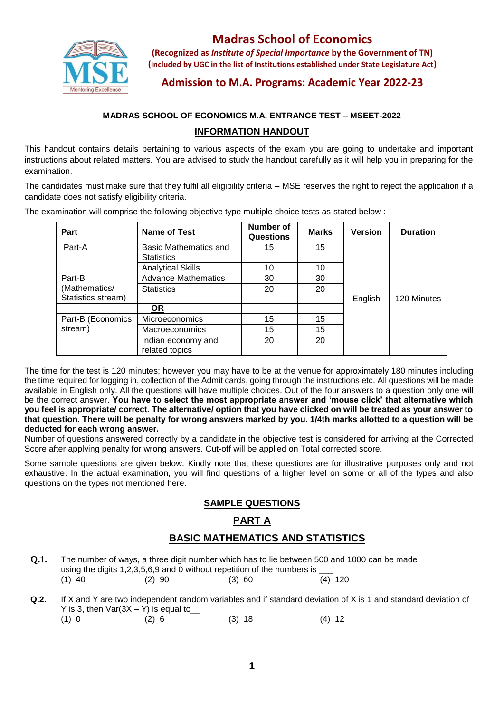

# **Madras School of Economics**

**(Recognized as** *Institute of Special Importance* **by the Government of TN) (Included by UGC in the list of Institutions established under State Legislature Act)**

## **Admission to M.A. Programs: Academic Year 2022-23**

## **MADRAS SCHOOL OF ECONOMICS M.A. ENTRANCE TEST – MSEET-2022**

## **INFORMATION HANDOUT**

This handout contains details pertaining to various aspects of the exam you are going to undertake and important instructions about related matters. You are advised to study the handout carefully as it will help you in preparing for the examination.

The candidates must make sure that they fulfil all eligibility criteria – MSE reserves the right to reject the application if a candidate does not satisfy eligibility criteria.

| Part                                | <b>Name of Test</b>                               | <b>Number of</b><br><b>Questions</b> | <b>Marks</b> | <b>Version</b> | <b>Duration</b> |
|-------------------------------------|---------------------------------------------------|--------------------------------------|--------------|----------------|-----------------|
| Part-A                              | <b>Basic Mathematics and</b><br><b>Statistics</b> | 15                                   | 15           |                |                 |
|                                     | <b>Analytical Skills</b>                          | 10                                   | 10           |                |                 |
| Part-B                              | <b>Advance Mathematics</b>                        | 30                                   | 30           | English        | 120 Minutes     |
| (Mathematics/<br>Statistics stream) | <b>Statistics</b>                                 | 20                                   | 20           |                |                 |
|                                     | <u>OR</u>                                         |                                      |              |                |                 |
| Part-B (Economics<br>stream)        | Microeconomics                                    | 15                                   | 15           |                |                 |
|                                     | Macroeconomics                                    | 15                                   | 15           |                |                 |
|                                     | Indian economy and<br>related topics              | 20                                   | 20           |                |                 |

The examination will comprise the following objective type multiple choice tests as stated below :

The time for the test is 120 minutes; however you may have to be at the venue for approximately 180 minutes including the time required for logging in, collection of the Admit cards, going through the instructions etc. All questions will be made available in English only. All the questions will have multiple choices. Out of the four answers to a question only one will be the correct answer. **You have to select the most appropriate answer and 'mouse click' that alternative which you feel is appropriate/ correct. The alternative/ option that you have clicked on will be treated as your answer to that question. There will be penalty for wrong answers marked by you. 1/4th marks allotted to a question will be deducted for each wrong answer.**

Number of questions answered correctly by a candidate in the objective test is considered for arriving at the Corrected Score after applying penalty for wrong answers. Cut-off will be applied on Total corrected score.

Some sample questions are given below. Kindly note that these questions are for illustrative purposes only and not exhaustive. In the actual examination, you will find questions of a higher level on some or all of the types and also questions on the types not mentioned here.

## **SAMPLE QUESTIONS**

## **PART A**

## **BASIC MATHEMATICS AND STATISTICS**

- **Q.1.** The number of ways, a three digit number which has to lie between 500 and 1000 can be made using the digits 1,2,3,5,6,9 and 0 without repetition of the numbers is  $\frac{1}{(4)}$  120 (1) 40 (2) 90 (3) 60 (4) 120
- **Q.2.** If X and Y are two independent random variables and if standard deviation of X is 1 and standard deviation of Y is 3, then  $Var(3X - Y)$  is equal to \_\_\_
	- (1) 0 (2) 6 (3) 18 (4)12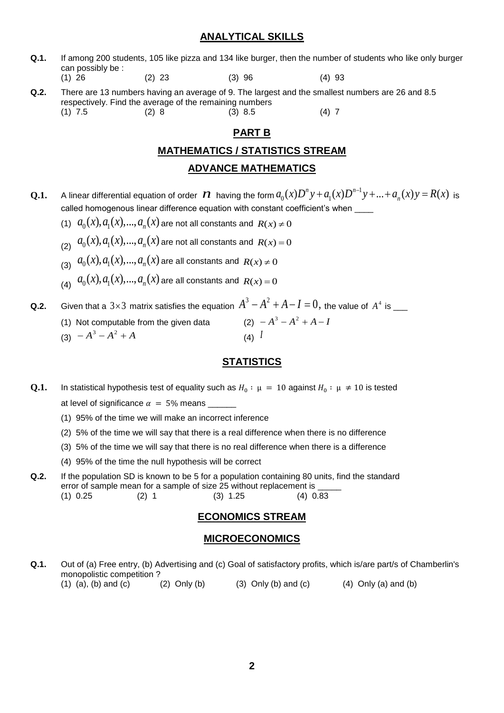#### **ANALYTICAL SKILLS**

**Q.1.** If among 200 students, 105 like pizza and 134 like burger, then the number of students who like only burger can possibly be :

(1) 26 (2) 23 (3) 96 (4) 93

**Q.2.** There are 13 numbers having an average of 9. The largest and the smallest numbers are 26 and 8.5 respectively. Find the average of the remaining numbers (1) 7.5 (2) 8 (3) 8.5 (4) 7

### **PART B**

#### **MATHEMATICS / STATISTICS STREAM**

#### **ADVANCE MATHEMATICS**

- **Q.1.** A linear differential equation of order  $N$  having the form  $a_0(x)D^ny+a_1(x)D^{n-1}y+...+a_n(x)y=R(x)$  is called homogenous linear difference equation with constant coefficient's when
	- (1)  $a_0(x), a_1(x), ..., a_n(x)$  are not all constants and  $R(x) \neq 0$
	- $a_0(x), a_1(x),..., a_n(x)$  are not all constants and  $R(x) = 0$
	- $a_0(x), a_1(x),..., a_n(x)$  are all constants and  $R(x) \neq 0$
	- $a_0(x), a_1(x),..., a_n(x)$  are all constants and  $R(x) = 0$

**Q.2.** Given that a 3×3 matrix satisfies the equation  $A^3 - A^2 + A - I = 0$ , the value of  $A^4$  is \_\_\_

(1) Not computable from the given data (2) *A A A I*  $(2) -A^3 -A^2 +A -I$  $(A^3 - A^2 + A^2)$ (4) *I*

### **STATISTICS**

- **Q.1.** In statistical hypothesis test of equality such as  $H_0: \mu = 10$  against  $H_0: \mu \neq 10$  is tested at level of significance  $\alpha = 5\%$  means
	- (1) 95% of the time we will make an incorrect inference
	- (2) 5% of the time we will say that there is a real difference when there is no difference
	- (3) 5% of the time we will say that there is no real difference when there is a difference
	- (4) 95% of the time the null hypothesis will be correct
- **Q.2.** If the population SD is known to be 5 for a population containing 80 units, find the standard error of sample mean for a sample of size 25 without replacement is (1) 0.25 (2) 1 (3) 1.25 (4) 0.83

### **ECONOMICS STREAM**

#### **MICROECONOMICS**

**Q.1.** Out of (a) Free entry, (b) Advertising and (c) Goal of satisfactory profits, which is/are part/s of Chamberlin's monopolistic competition ? (1) (a), (b) and (c) (2) Only (b) (3) Only (b) and (c) (4) Only (a) and (b)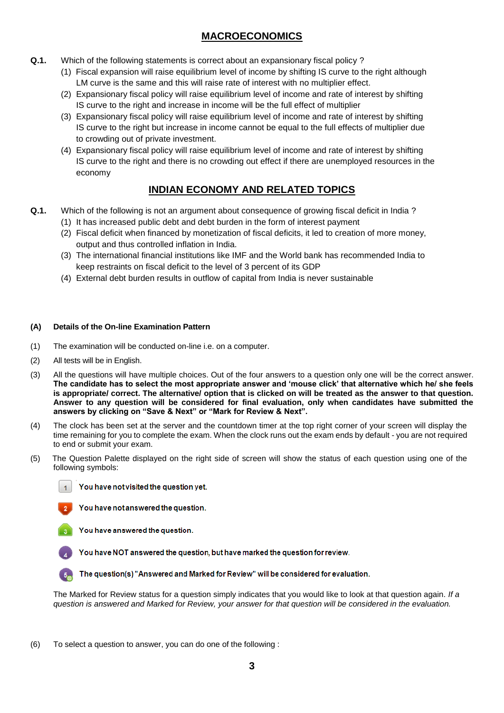## **MACROECONOMICS**

- **Q.1.** Which of the following statements is correct about an expansionary fiscal policy ?
	- (1) Fiscal expansion will raise equilibrium level of income by shifting IS curve to the right although LM curve is the same and this will raise rate of interest with no multiplier effect.
	- (2) Expansionary fiscal policy will raise equilibrium level of income and rate of interest by shifting IS curve to the right and increase in income will be the full effect of multiplier
	- (3) Expansionary fiscal policy will raise equilibrium level of income and rate of interest by shifting IS curve to the right but increase in income cannot be equal to the full effects of multiplier due to crowding out of private investment.
	- (4) Expansionary fiscal policy will raise equilibrium level of income and rate of interest by shifting IS curve to the right and there is no crowding out effect if there are unemployed resources in the economy

## **INDIAN ECONOMY AND RELATED TOPICS**

- **Q.1.** Which of the following is not an argument about consequence of growing fiscal deficit in India ?
	- (1) It has increased public debt and debt burden in the form of interest payment
	- (2) Fiscal deficit when financed by monetization of fiscal deficits, it led to creation of more money, output and thus controlled inflation in India.
	- (3) The international financial institutions like IMF and the World bank has recommended India to keep restraints on fiscal deficit to the level of 3 percent of its GDP
	- (4) External debt burden results in outflow of capital from India is never sustainable

#### **(A) Details of the On-line Examination Pattern**

- (1) The examination will be conducted on-line i.e. on a computer.
- (2) All tests will be in English.
- (3) All the questions will have multiple choices. Out of the four answers to a question only one will be the correct answer. **The candidate has to select the most appropriate answer and 'mouse click' that alternative which he/ she feels is appropriate/ correct. The alternative/ option that is clicked on will be treated as the answer to that question. Answer to any question will be considered for final evaluation, only when candidates have submitted the answers by clicking on "Save & Next" or "Mark for Review & Next".**
- (4) The clock has been set at the server and the countdown timer at the top right corner of your screen will display the time remaining for you to complete the exam. When the clock runs out the exam ends by default - you are not required to end or submit your exam.
- (5) The Question Palette displayed on the right side of screen will show the status of each question using one of the following symbols:

You have not visited the question yet.



You have not answered the question.

You have answered the question.

You have NOT answered the question, but have marked the question for review.

The question(s) "Answered and Marked for Review" will be considered for evaluation.

The Marked for Review status for a question simply indicates that you would like to look at that question again. *If a question is answered and Marked for Review, your answer for that question will be considered in the evaluation.*

(6) To select a question to answer, you can do one of the following :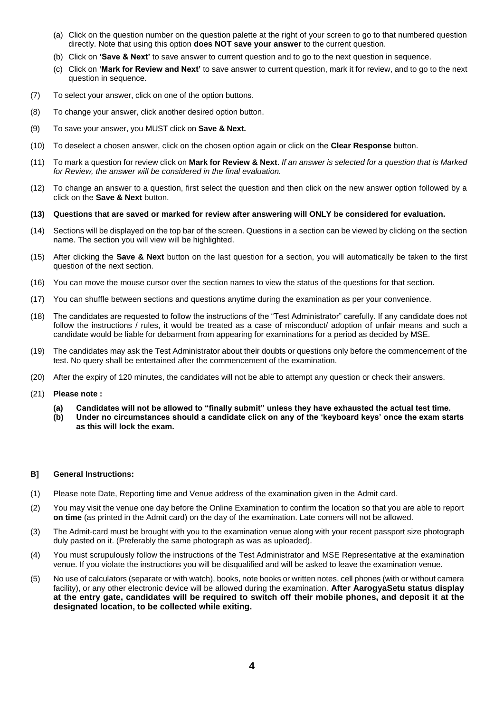- (a) Click on the question number on the question palette at the right of your screen to go to that numbered question directly. Note that using this option **does NOT save your answer** to the current question.
- (b) Click on **'Save & Next'** to save answer to current question and to go to the next question in sequence.
- (c) Click on **'Mark for Review and Next'** to save answer to current question, mark it for review, and to go to the next question in sequence.
- (7) To select your answer, click on one of the option buttons.
- (8) To change your answer, click another desired option button.
- (9) To save your answer, you MUST click on **Save & Next.**
- (10) To deselect a chosen answer, click on the chosen option again or click on the **Clear Response** button.
- (11) To mark a question for review click on **Mark for Review & Next**. *If an answer is selected for a question that is Marked for Review, the answer will be considered in the final evaluation.*
- (12) To change an answer to a question, first select the question and then click on the new answer option followed by a click on the **Save & Next** button.
- **(13) Questions that are saved or marked for review after answering will ONLY be considered for evaluation.**
- (14) Sections will be displayed on the top bar of the screen. Questions in a section can be viewed by clicking on the section name. The section you will view will be highlighted.
- (15) After clicking the **Save & Next** button on the last question for a section, you will automatically be taken to the first question of the next section.
- (16) You can move the mouse cursor over the section names to view the status of the questions for that section.
- (17) You can shuffle between sections and questions anytime during the examination as per your convenience.
- (18) The candidates are requested to follow the instructions of the "Test Administrator" carefully. If any candidate does not follow the instructions / rules, it would be treated as a case of misconduct/ adoption of unfair means and such a candidate would be liable for debarment from appearing for examinations for a period as decided by MSE.
- (19) The candidates may ask the Test Administrator about their doubts or questions only before the commencement of the test. No query shall be entertained after the commencement of the examination.
- (20) After the expiry of 120 minutes, the candidates will not be able to attempt any question or check their answers.
- (21) **Please note :**
	- **(a) Candidates will not be allowed to "finally submit" unless they have exhausted the actual test time.**
	- **(b) Under no circumstances should a candidate click on any of the 'keyboard keys' once the exam starts as this will lock the exam.**

#### **B] General Instructions:**

- (1) Please note Date, Reporting time and Venue address of the examination given in the Admit card.
- (2) You may visit the venue one day before the Online Examination to confirm the location so that you are able to report **on time** (as printed in the Admit card) on the day of the examination. Late comers will not be allowed.
- (3) The Admit-card must be brought with you to the examination venue along with your recent passport size photograph duly pasted on it. (Preferably the same photograph as was as uploaded).
- (4) You must scrupulously follow the instructions of the Test Administrator and MSE Representative at the examination venue. If you violate the instructions you will be disqualified and will be asked to leave the examination venue.
- (5) No use of calculators (separate or with watch), books, note books or written notes, cell phones (with or without camera facility), or any other electronic device will be allowed during the examination. **After AarogyaSetu status display at the entry gate, candidates will be required to switch off their mobile phones, and deposit it at the designated location, to be collected while exiting.**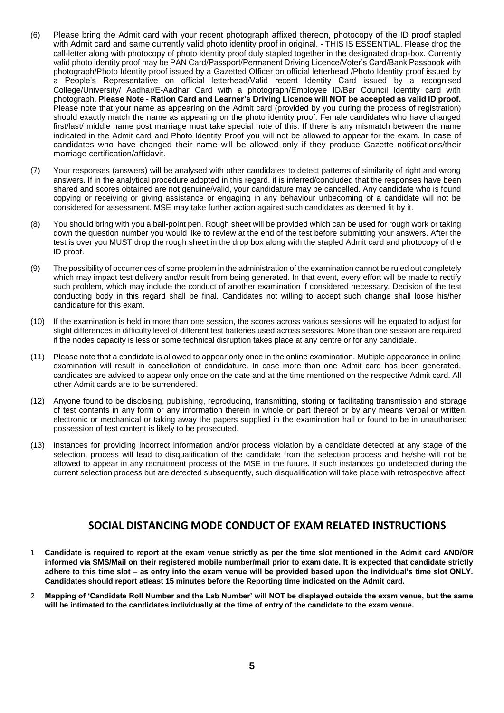- (6) Please bring the Admit card with your recent photograph affixed thereon, photocopy of the ID proof stapled with Admit card and same currently valid photo identity proof in original. - THIS IS ESSENTIAL. Please drop the call-letter along with photocopy of photo identity proof duly stapled together in the designated drop-box. Currently valid photo identity proof may be PAN Card/Passport/Permanent Driving Licence/Voter's Card/Bank Passbook with photograph/Photo Identity proof issued by a Gazetted Officer on official letterhead /Photo Identity proof issued by a People's Representative on official letterhead/Valid recent Identity Card issued by a recognised College/University/ Aadhar/E-Aadhar Card with a photograph/Employee ID/Bar Council Identity card with photograph. **Please Note - Ration Card and Learner's Driving Licence will NOT be accepted as valid ID proof.**  Please note that your name as appearing on the Admit card (provided by you during the process of registration) should exactly match the name as appearing on the photo identity proof. Female candidates who have changed first/last/ middle name post marriage must take special note of this. If there is any mismatch between the name indicated in the Admit card and Photo Identity Proof you will not be allowed to appear for the exam. In case of candidates who have changed their name will be allowed only if they produce Gazette notifications/their marriage certification/affidavit.
- (7) Your responses (answers) will be analysed with other candidates to detect patterns of similarity of right and wrong answers. If in the analytical procedure adopted in this regard, it is inferred/concluded that the responses have been shared and scores obtained are not genuine/valid, your candidature may be cancelled. Any candidate who is found copying or receiving or giving assistance or engaging in any behaviour unbecoming of a candidate will not be considered for assessment. MSE may take further action against such candidates as deemed fit by it.
- (8) You should bring with you a ball-point pen. Rough sheet will be provided which can be used for rough work or taking down the question number you would like to review at the end of the test before submitting your answers. After the test is over you MUST drop the rough sheet in the drop box along with the stapled Admit card and photocopy of the ID proof.
- (9) The possibility of occurrences of some problem in the administration of the examination cannot be ruled out completely which may impact test delivery and/or result from being generated. In that event, every effort will be made to rectify such problem, which may include the conduct of another examination if considered necessary. Decision of the test conducting body in this regard shall be final. Candidates not willing to accept such change shall loose his/her candidature for this exam.
- (10) If the examination is held in more than one session, the scores across various sessions will be equated to adjust for slight differences in difficulty level of different test batteries used across sessions. More than one session are required if the nodes capacity is less or some technical disruption takes place at any centre or for any candidate.
- (11) Please note that a candidate is allowed to appear only once in the online examination. Multiple appearance in online examination will result in cancellation of candidature. In case more than one Admit card has been generated, candidates are advised to appear only once on the date and at the time mentioned on the respective Admit card. All other Admit cards are to be surrendered.
- (12) Anyone found to be disclosing, publishing, reproducing, transmitting, storing or facilitating transmission and storage of test contents in any form or any information therein in whole or part thereof or by any means verbal or written, electronic or mechanical or taking away the papers supplied in the examination hall or found to be in unauthorised possession of test content is likely to be prosecuted.
- (13) Instances for providing incorrect information and/or process violation by a candidate detected at any stage of the selection, process will lead to disqualification of the candidate from the selection process and he/she will not be allowed to appear in any recruitment process of the MSE in the future. If such instances go undetected during the current selection process but are detected subsequently, such disqualification will take place with retrospective affect.

## **SOCIAL DISTANCING MODE CONDUCT OF EXAM RELATED INSTRUCTIONS**

- 1 **Candidate is required to report at the exam venue strictly as per the time slot mentioned in the Admit card AND/OR informed via SMS/Mail on their registered mobile number/mail prior to exam date. It is expected that candidate strictly adhere to this time slot – as entry into the exam venue will be provided based upon the individual's time slot ONLY. Candidates should report atleast 15 minutes before the Reporting time indicated on the Admit card.**
- 2 **Mapping of 'Candidate Roll Number and the Lab Number' will NOT be displayed outside the exam venue, but the same will be intimated to the candidates individually at the time of entry of the candidate to the exam venue.**